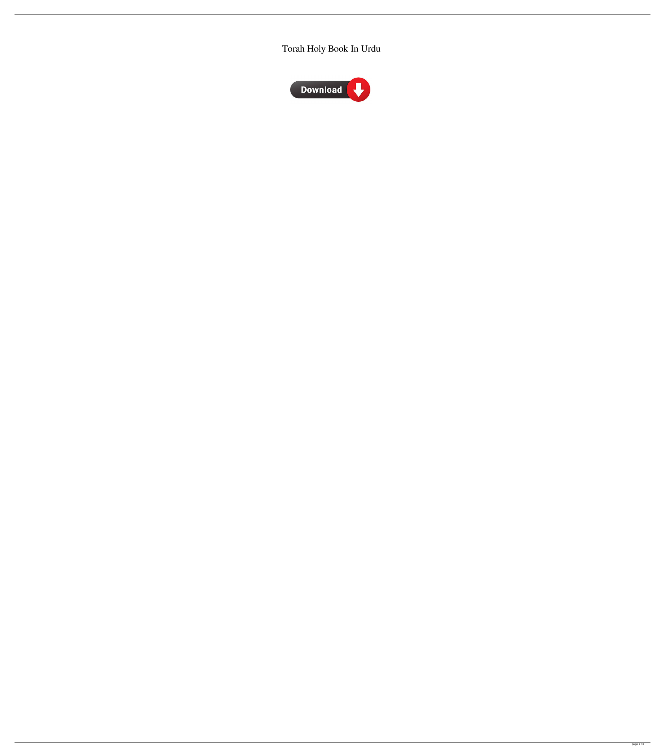## Torah Holy Book In Urdu

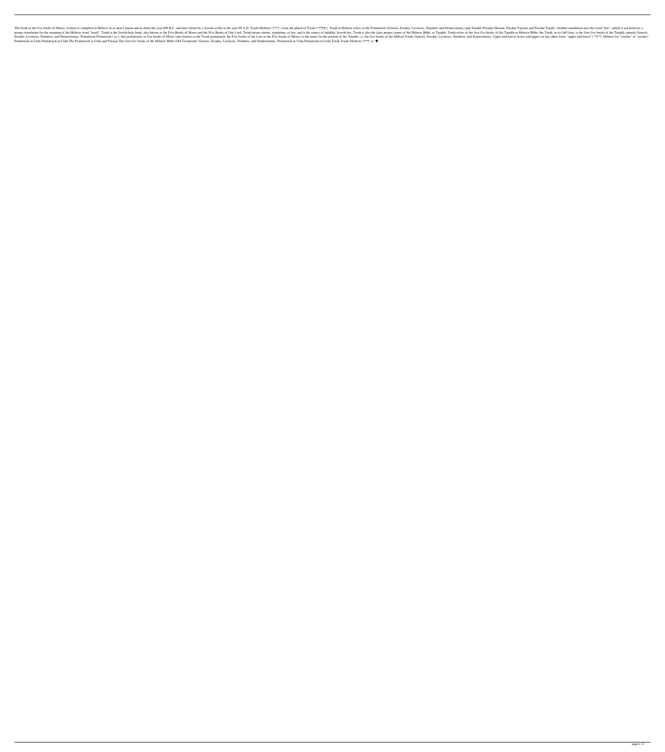The book of the five books of Moses, written or compiled in Hebrew in or near Canaan and in about the year 600 B.C. and later edited by a Jewish scribe in the year 90 A.D. Torah (Hebrew:הְהָרוּה). Torah in Hebrew refers t proper translation for the meaning of the Hebrew word "torah". Torah is the Jewish holy book, also known as the Five Books of Moses and the Five Books of Our Lord. Torah means statute, regulation, or law, and is the Source Exodus, Leviticus, Numbers, and Deuteronomy. Pentateuch (or), also pentateuch (or), also pentateuch, or five books of Moses (also known as the Torah pentateuch, the Five books of the Law or the Fanakh, i.e. the five books Pentateuch in Urdu Pentateuch in Urdu The Pentateuch in Urdu and Persian The first five books of the Hebrew Bible (Old Testament): Genesis, Exodus, Leviticus, Numbers, and Deuteronomy. Pentateuch in Urdu Pentateuch in Ur